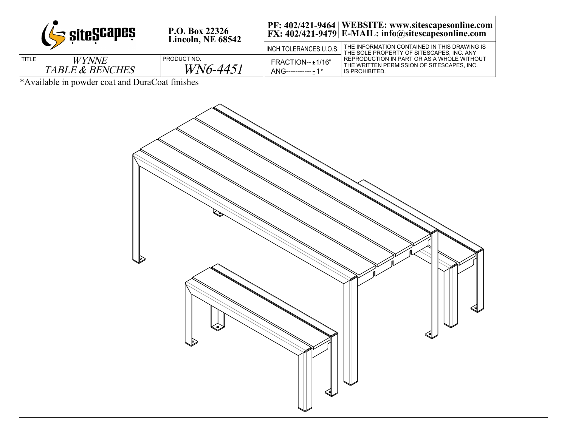